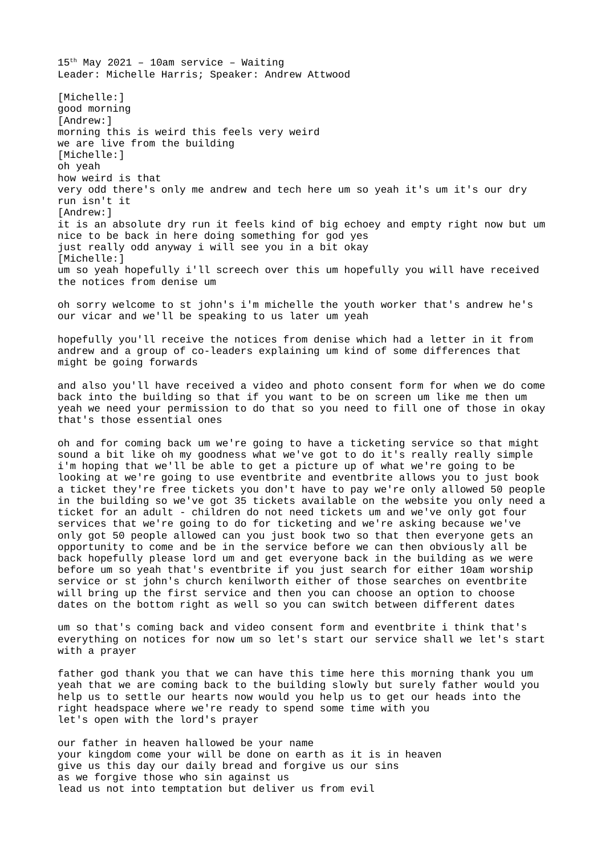$15<sup>th</sup>$  May 2021 - 10am service - Waiting Leader: Michelle Harris; Speaker: Andrew Attwood [Michelle:] good morning [Andrew:] morning this is weird this feels very weird we are live from the building [Michelle:] oh yeah how weird is that very odd there's only me andrew and tech here um so yeah it's um it's our dry run isn't it [Andrew:] it is an absolute dry run it feels kind of big echoey and empty right now but um nice to be back in here doing something for god yes just really odd anyway i will see you in a bit okay [Michelle:] um so yeah hopefully i'll screech over this um hopefully you will have received the notices from denise um

oh sorry welcome to st john's i'm michelle the youth worker that's andrew he's our vicar and we'll be speaking to us later um yeah

hopefully you'll receive the notices from denise which had a letter in it from andrew and a group of co-leaders explaining um kind of some differences that might be going forwards

and also you'll have received a video and photo consent form for when we do come back into the building so that if you want to be on screen um like me then um yeah we need your permission to do that so you need to fill one of those in okay that's those essential ones

oh and for coming back um we're going to have a ticketing service so that might sound a bit like oh my goodness what we've got to do it's really really simple i'm hoping that we'll be able to get a picture up of what we're going to be looking at we're going to use eventbrite and eventbrite allows you to just book a ticket they're free tickets you don't have to pay we're only allowed 50 people in the building so we've got 35 tickets available on the website you only need a ticket for an adult - children do not need tickets um and we've only got four services that we're going to do for ticketing and we're asking because we've only got 50 people allowed can you just book two so that then everyone gets an opportunity to come and be in the service before we can then obviously all be back hopefully please lord um and get everyone back in the building as we were before um so yeah that's eventbrite if you just search for either 10am worship service or st john's church kenilworth either of those searches on eventbrite will bring up the first service and then you can choose an option to choose dates on the bottom right as well so you can switch between different dates

um so that's coming back and video consent form and eventbrite i think that's everything on notices for now um so let's start our service shall we let's start with a prayer

father god thank you that we can have this time here this morning thank you um yeah that we are coming back to the building slowly but surely father would you help us to settle our hearts now would you help us to get our heads into the right headspace where we're ready to spend some time with you let's open with the lord's prayer

our father in heaven hallowed be your name your kingdom come your will be done on earth as it is in heaven give us this day our daily bread and forgive us our sins as we forgive those who sin against us lead us not into temptation but deliver us from evil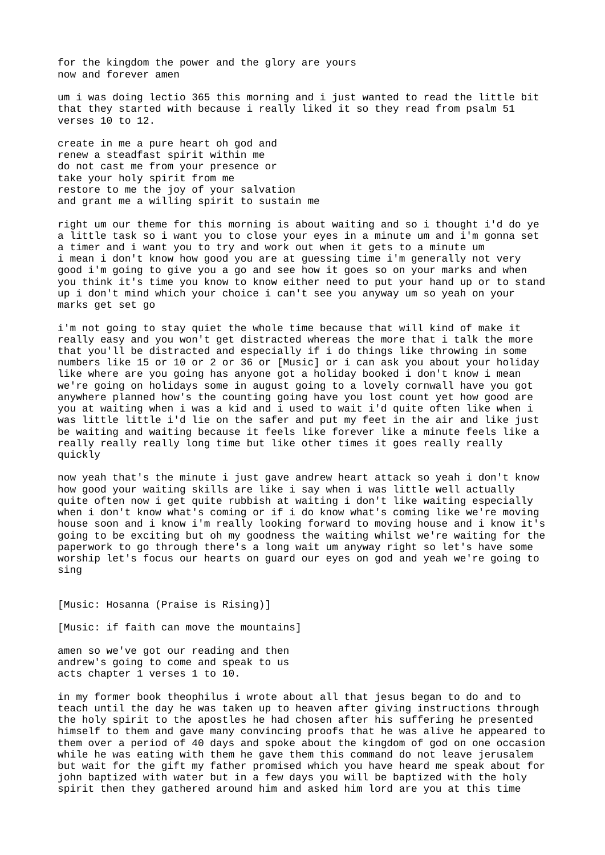for the kingdom the power and the glory are yours now and forever amen

um i was doing lectio 365 this morning and i just wanted to read the little bit that they started with because i really liked it so they read from psalm 51 verses 10 to 12.

create in me a pure heart oh god and renew a steadfast spirit within me do not cast me from your presence or take your holy spirit from me restore to me the joy of your salvation and grant me a willing spirit to sustain me

right um our theme for this morning is about waiting and so i thought i'd do ye a little task so i want you to close your eyes in a minute um and i'm gonna set a timer and i want you to try and work out when it gets to a minute um i mean i don't know how good you are at guessing time i'm generally not very good i'm going to give you a go and see how it goes so on your marks and when you think it's time you know to know either need to put your hand up or to stand up i don't mind which your choice i can't see you anyway um so yeah on your marks get set go

i'm not going to stay quiet the whole time because that will kind of make it really easy and you won't get distracted whereas the more that i talk the more that you'll be distracted and especially if i do things like throwing in some numbers like 15 or 10 or 2 or 36 or [Music] or i can ask you about your holiday like where are you going has anyone got a holiday booked i don't know i mean we're going on holidays some in august going to a lovely cornwall have you got anywhere planned how's the counting going have you lost count yet how good are you at waiting when i was a kid and i used to wait i'd quite often like when i was little little i'd lie on the safer and put my feet in the air and like just be waiting and waiting because it feels like forever like a minute feels like a really really really long time but like other times it goes really really quickly

now yeah that's the minute i just gave andrew heart attack so yeah i don't know how good your waiting skills are like i say when i was little well actually quite often now i get quite rubbish at waiting i don't like waiting especially when i don't know what's coming or if i do know what's coming like we're moving house soon and i know i'm really looking forward to moving house and i know it's going to be exciting but oh my goodness the waiting whilst we're waiting for the paperwork to go through there's a long wait um anyway right so let's have some worship let's focus our hearts on guard our eyes on god and yeah we're going to sing

[Music: Hosanna (Praise is Rising)]

[Music: if faith can move the mountains]

amen so we've got our reading and then andrew's going to come and speak to us acts chapter 1 verses 1 to 10.

in my former book theophilus i wrote about all that jesus began to do and to teach until the day he was taken up to heaven after giving instructions through the holy spirit to the apostles he had chosen after his suffering he presented himself to them and gave many convincing proofs that he was alive he appeared to them over a period of 40 days and spoke about the kingdom of god on one occasion while he was eating with them he gave them this command do not leave jerusalem but wait for the gift my father promised which you have heard me speak about for john baptized with water but in a few days you will be baptized with the holy spirit then they gathered around him and asked him lord are you at this time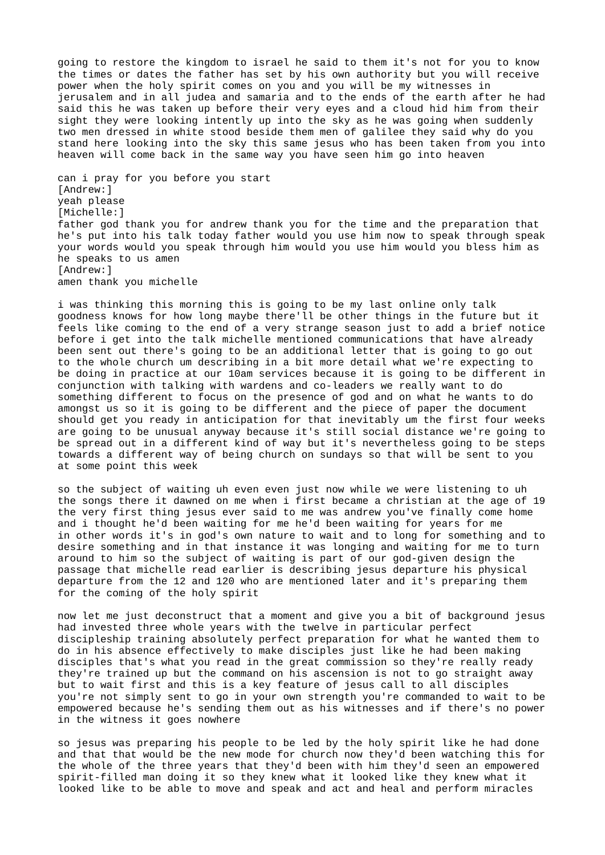going to restore the kingdom to israel he said to them it's not for you to know the times or dates the father has set by his own authority but you will receive power when the holy spirit comes on you and you will be my witnesses in jerusalem and in all judea and samaria and to the ends of the earth after he had said this he was taken up before their very eyes and a cloud hid him from their sight they were looking intently up into the sky as he was going when suddenly two men dressed in white stood beside them men of galilee they said why do you stand here looking into the sky this same jesus who has been taken from you into heaven will come back in the same way you have seen him go into heaven

can i pray for you before you start [Andrew:] yeah please [Michelle:] father god thank you for andrew thank you for the time and the preparation that he's put into his talk today father would you use him now to speak through speak your words would you speak through him would you use him would you bless him as he speaks to us amen [Andrew:] amen thank you michelle

i was thinking this morning this is going to be my last online only talk goodness knows for how long maybe there'll be other things in the future but it feels like coming to the end of a very strange season just to add a brief notice before i get into the talk michelle mentioned communications that have already been sent out there's going to be an additional letter that is going to go out to the whole church um describing in a bit more detail what we're expecting to be doing in practice at our 10am services because it is going to be different in conjunction with talking with wardens and co-leaders we really want to do something different to focus on the presence of god and on what he wants to do amongst us so it is going to be different and the piece of paper the document should get you ready in anticipation for that inevitably um the first four weeks are going to be unusual anyway because it's still social distance we're going to be spread out in a different kind of way but it's nevertheless going to be steps towards a different way of being church on sundays so that will be sent to you at some point this week

so the subject of waiting uh even even just now while we were listening to uh the songs there it dawned on me when i first became a christian at the age of 19 the very first thing jesus ever said to me was andrew you've finally come home and i thought he'd been waiting for me he'd been waiting for years for me in other words it's in god's own nature to wait and to long for something and to desire something and in that instance it was longing and waiting for me to turn around to him so the subject of waiting is part of our god-given design the passage that michelle read earlier is describing jesus departure his physical departure from the 12 and 120 who are mentioned later and it's preparing them for the coming of the holy spirit

now let me just deconstruct that a moment and give you a bit of background jesus had invested three whole years with the twelve in particular perfect discipleship training absolutely perfect preparation for what he wanted them to do in his absence effectively to make disciples just like he had been making disciples that's what you read in the great commission so they're really ready they're trained up but the command on his ascension is not to go straight away but to wait first and this is a key feature of jesus call to all disciples you're not simply sent to go in your own strength you're commanded to wait to be empowered because he's sending them out as his witnesses and if there's no power in the witness it goes nowhere

so jesus was preparing his people to be led by the holy spirit like he had done and that that would be the new mode for church now they'd been watching this for the whole of the three years that they'd been with him they'd seen an empowered spirit-filled man doing it so they knew what it looked like they knew what it looked like to be able to move and speak and act and heal and perform miracles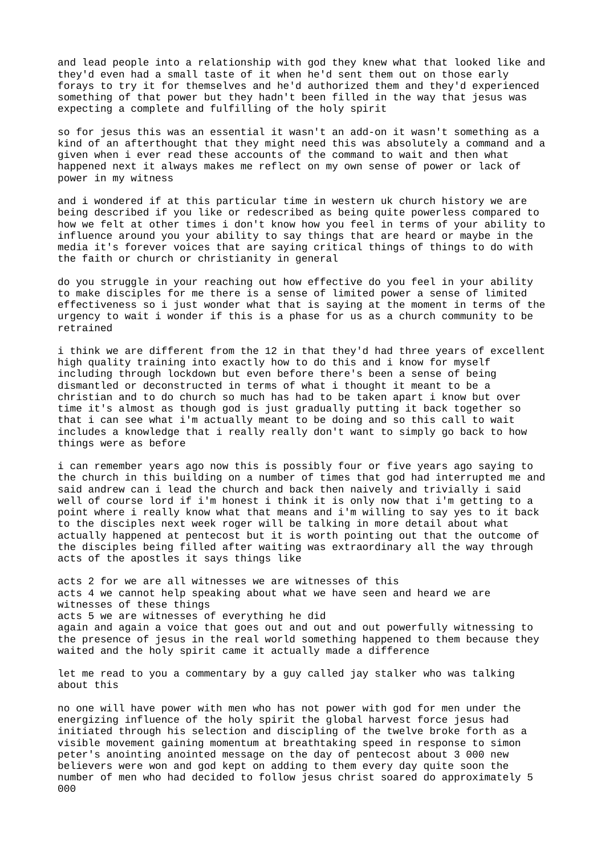and lead people into a relationship with god they knew what that looked like and they'd even had a small taste of it when he'd sent them out on those early forays to try it for themselves and he'd authorized them and they'd experienced something of that power but they hadn't been filled in the way that jesus was expecting a complete and fulfilling of the holy spirit

so for jesus this was an essential it wasn't an add-on it wasn't something as a kind of an afterthought that they might need this was absolutely a command and a given when i ever read these accounts of the command to wait and then what happened next it always makes me reflect on my own sense of power or lack of power in my witness

and i wondered if at this particular time in western uk church history we are being described if you like or redescribed as being quite powerless compared to how we felt at other times i don't know how you feel in terms of your ability to influence around you your ability to say things that are heard or maybe in the media it's forever voices that are saying critical things of things to do with the faith or church or christianity in general

do you struggle in your reaching out how effective do you feel in your ability to make disciples for me there is a sense of limited power a sense of limited effectiveness so i just wonder what that is saying at the moment in terms of the urgency to wait i wonder if this is a phase for us as a church community to be retrained

i think we are different from the 12 in that they'd had three years of excellent high quality training into exactly how to do this and i know for myself including through lockdown but even before there's been a sense of being dismantled or deconstructed in terms of what i thought it meant to be a christian and to do church so much has had to be taken apart i know but over time it's almost as though god is just gradually putting it back together so that i can see what i'm actually meant to be doing and so this call to wait includes a knowledge that i really really don't want to simply go back to how things were as before

i can remember years ago now this is possibly four or five years ago saying to the church in this building on a number of times that god had interrupted me and said andrew can i lead the church and back then naively and trivially i said well of course lord if i'm honest i think it is only now that i'm getting to a point where i really know what that means and i'm willing to say yes to it back to the disciples next week roger will be talking in more detail about what actually happened at pentecost but it is worth pointing out that the outcome of the disciples being filled after waiting was extraordinary all the way through acts of the apostles it says things like

acts 2 for we are all witnesses we are witnesses of this acts 4 we cannot help speaking about what we have seen and heard we are witnesses of these things acts 5 we are witnesses of everything he did again and again a voice that goes out and out and out powerfully witnessing to the presence of jesus in the real world something happened to them because they waited and the holy spirit came it actually made a difference

let me read to you a commentary by a guy called jay stalker who was talking about this

no one will have power with men who has not power with god for men under the energizing influence of the holy spirit the global harvest force jesus had initiated through his selection and discipling of the twelve broke forth as a visible movement gaining momentum at breathtaking speed in response to simon peter's anointing anointed message on the day of pentecost about 3 000 new believers were won and god kept on adding to them every day quite soon the number of men who had decided to follow jesus christ soared do approximately 5 000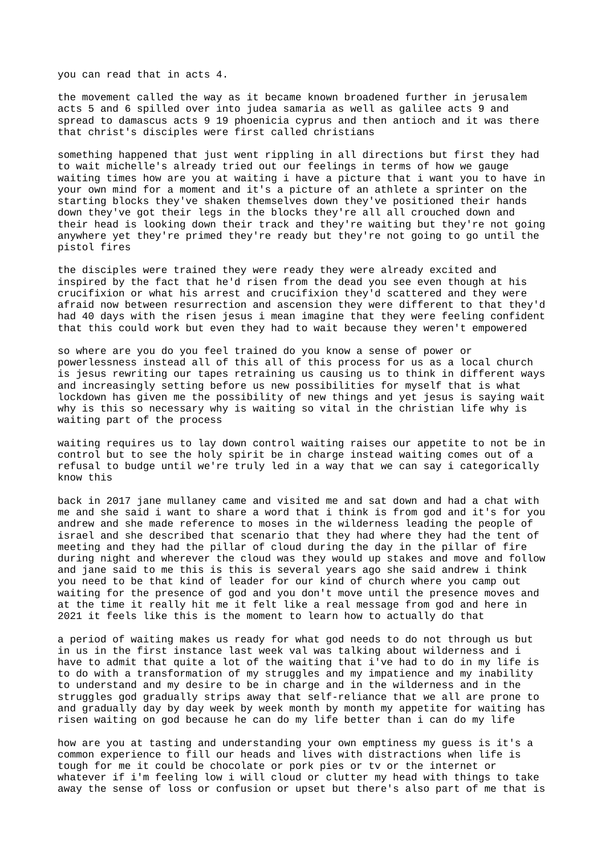you can read that in acts 4.

the movement called the way as it became known broadened further in jerusalem acts 5 and 6 spilled over into judea samaria as well as galilee acts 9 and spread to damascus acts 9 19 phoenicia cyprus and then antioch and it was there that christ's disciples were first called christians

something happened that just went rippling in all directions but first they had to wait michelle's already tried out our feelings in terms of how we gauge waiting times how are you at waiting i have a picture that i want you to have in your own mind for a moment and it's a picture of an athlete a sprinter on the starting blocks they've shaken themselves down they've positioned their hands down they've got their legs in the blocks they're all all crouched down and their head is looking down their track and they're waiting but they're not going anywhere yet they're primed they're ready but they're not going to go until the pistol fires

the disciples were trained they were ready they were already excited and inspired by the fact that he'd risen from the dead you see even though at his crucifixion or what his arrest and crucifixion they'd scattered and they were afraid now between resurrection and ascension they were different to that they'd had 40 days with the risen jesus i mean imagine that they were feeling confident that this could work but even they had to wait because they weren't empowered

so where are you do you feel trained do you know a sense of power or powerlessness instead all of this all of this process for us as a local church is jesus rewriting our tapes retraining us causing us to think in different ways and increasingly setting before us new possibilities for myself that is what lockdown has given me the possibility of new things and yet jesus is saying wait why is this so necessary why is waiting so vital in the christian life why is waiting part of the process

waiting requires us to lay down control waiting raises our appetite to not be in control but to see the holy spirit be in charge instead waiting comes out of a refusal to budge until we're truly led in a way that we can say i categorically know this

back in 2017 jane mullaney came and visited me and sat down and had a chat with me and she said i want to share a word that i think is from god and it's for you andrew and she made reference to moses in the wilderness leading the people of israel and she described that scenario that they had where they had the tent of meeting and they had the pillar of cloud during the day in the pillar of fire during night and wherever the cloud was they would up stakes and move and follow and jane said to me this is this is several years ago she said andrew i think you need to be that kind of leader for our kind of church where you camp out waiting for the presence of god and you don't move until the presence moves and at the time it really hit me it felt like a real message from god and here in 2021 it feels like this is the moment to learn how to actually do that

a period of waiting makes us ready for what god needs to do not through us but in us in the first instance last week val was talking about wilderness and i have to admit that quite a lot of the waiting that i've had to do in my life is to do with a transformation of my struggles and my impatience and my inability to understand and my desire to be in charge and in the wilderness and in the struggles god gradually strips away that self-reliance that we all are prone to and gradually day by day week by week month by month my appetite for waiting has risen waiting on god because he can do my life better than i can do my life

how are you at tasting and understanding your own emptiness my guess is it's a common experience to fill our heads and lives with distractions when life is tough for me it could be chocolate or pork pies or tv or the internet or whatever if i'm feeling low i will cloud or clutter my head with things to take away the sense of loss or confusion or upset but there's also part of me that is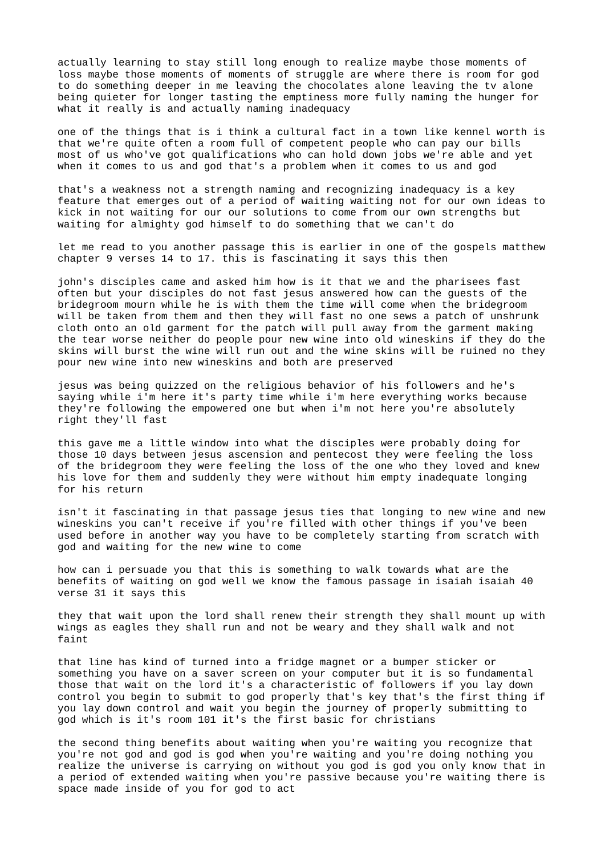actually learning to stay still long enough to realize maybe those moments of loss maybe those moments of moments of struggle are where there is room for god to do something deeper in me leaving the chocolates alone leaving the tv alone being quieter for longer tasting the emptiness more fully naming the hunger for what it really is and actually naming inadequacy

one of the things that is i think a cultural fact in a town like kennel worth is that we're quite often a room full of competent people who can pay our bills most of us who've got qualifications who can hold down jobs we're able and yet when it comes to us and god that's a problem when it comes to us and god

that's a weakness not a strength naming and recognizing inadequacy is a key feature that emerges out of a period of waiting waiting not for our own ideas to kick in not waiting for our our solutions to come from our own strengths but waiting for almighty god himself to do something that we can't do

let me read to you another passage this is earlier in one of the gospels matthew chapter 9 verses 14 to 17. this is fascinating it says this then

john's disciples came and asked him how is it that we and the pharisees fast often but your disciples do not fast jesus answered how can the guests of the bridegroom mourn while he is with them the time will come when the bridegroom will be taken from them and then they will fast no one sews a patch of unshrunk cloth onto an old garment for the patch will pull away from the garment making the tear worse neither do people pour new wine into old wineskins if they do the skins will burst the wine will run out and the wine skins will be ruined no they pour new wine into new wineskins and both are preserved

jesus was being quizzed on the religious behavior of his followers and he's saying while i'm here it's party time while i'm here everything works because they're following the empowered one but when i'm not here you're absolutely right they'll fast

this gave me a little window into what the disciples were probably doing for those 10 days between jesus ascension and pentecost they were feeling the loss of the bridegroom they were feeling the loss of the one who they loved and knew his love for them and suddenly they were without him empty inadequate longing for his return

isn't it fascinating in that passage jesus ties that longing to new wine and new wineskins you can't receive if you're filled with other things if you've been used before in another way you have to be completely starting from scratch with god and waiting for the new wine to come

how can i persuade you that this is something to walk towards what are the benefits of waiting on god well we know the famous passage in isaiah isaiah 40 verse 31 it says this

they that wait upon the lord shall renew their strength they shall mount up with wings as eagles they shall run and not be weary and they shall walk and not faint

that line has kind of turned into a fridge magnet or a bumper sticker or something you have on a saver screen on your computer but it is so fundamental those that wait on the lord it's a characteristic of followers if you lay down control you begin to submit to god properly that's key that's the first thing if you lay down control and wait you begin the journey of properly submitting to god which is it's room 101 it's the first basic for christians

the second thing benefits about waiting when you're waiting you recognize that you're not god and god is god when you're waiting and you're doing nothing you realize the universe is carrying on without you god is god you only know that in a period of extended waiting when you're passive because you're waiting there is space made inside of you for god to act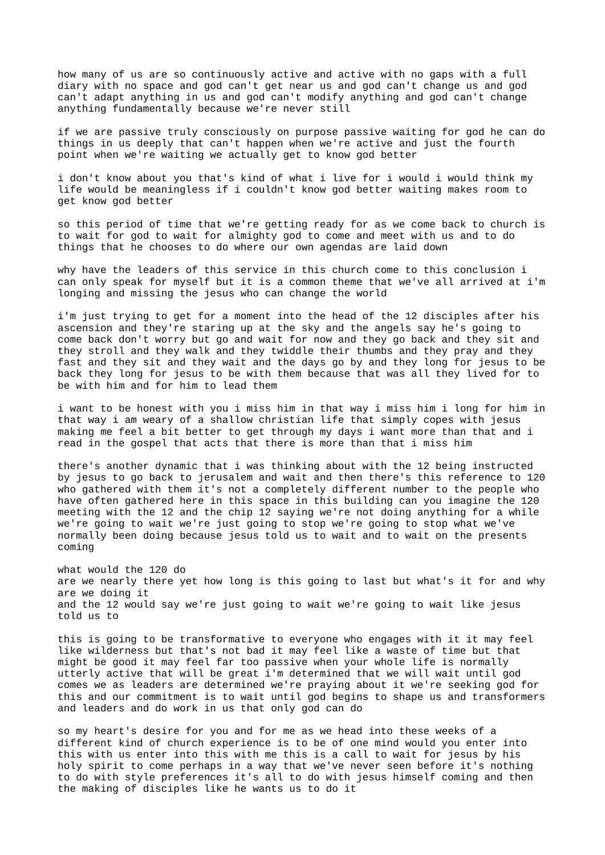how many of us are so continuously active and active with no gaps with a full diary with no space and god can't get near us and god can't change us and god can't adapt anything in us and god can't modify anything and god can't change anything fundamentally because we're never still

if we are passive truly consciously on purpose passive waiting for god he can do things in us deeply that can't happen when we're active and just the fourth point when we're waiting we actually get to know god better

i don't know about you that's kind of what i live for i would i would think my life would be meaningless if i couldn't know god better waiting makes room to get know god better

so this period of time that we're getting ready for as we come back to church is to wait for god to wait for almighty god to come and meet with us and to do things that he chooses to do where our own agendas are laid down

why have the leaders of this service in this church come to this conclusion i can only speak for myself but it is a common theme that we've all arrived at i'm longing and missing the jesus who can change the world

i'm just trying to get for a moment into the head of the 12 disciples after his ascension and they're staring up at the sky and the angels say he's going to come back don't worry but go and wait for now and they go back and they sit and they stroll and they walk and they twiddle their thumbs and they pray and they fast and they sit and they wait and the days go by and they long for jesus to be back they long for jesus to be with them because that was all they lived for to be with him and for him to lead them

i want to be honest with you i miss him in that way i miss him i long for him in that way i am weary of a shallow christian life that simply copes with jesus making me feel a bit better to get through my days i want more than that and i read in the gospel that acts that there is more than that i miss him

there's another dynamic that i was thinking about with the 12 being instructed by jesus to go back to jerusalem and wait and then there's this reference to 120 who gathered with them it's not a completely different number to the people who have often gathered here in this space in this building can you imagine the 120 meeting with the 12 and the chip 12 saying we're not doing anything for a while we're going to wait we're just going to stop we're going to stop what we've normally been doing because jesus told us to wait and to wait on the presents coming

what would the 120 do are we nearly there yet how long is this going to last but what's it for and why are we doing it and the 12 would say we're just going to wait we're going to wait like jesus told us to

this is going to be transformative to everyone who engages with it it may feel like wilderness but that's not bad it may feel like a waste of time but that might be good it may feel far too passive when your whole life is normally utterly active that will be great i'm determined that we will wait until god comes we as leaders are determined we're praying about it we're seeking god for this and our commitment is to wait until god begins to shape us and transformers and leaders and do work in us that only god can do

so my heart's desire for you and for me as we head into these weeks of a different kind of church experience is to be of one mind would you enter into this with us enter into this with me this is a call to wait for jesus by his holy spirit to come perhaps in a way that we've never seen before it's nothing to do with style preferences it's all to do with jesus himself coming and then the making of disciples like he wants us to do it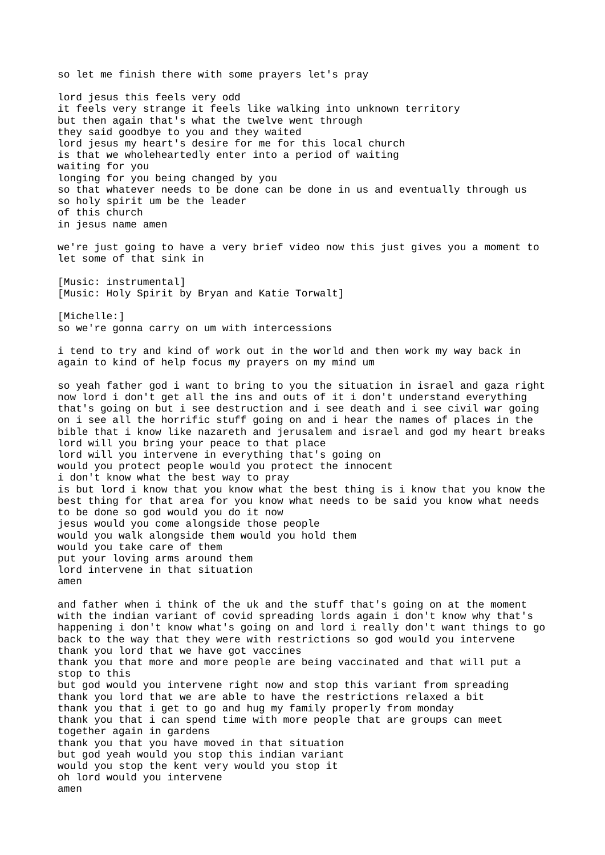so let me finish there with some prayers let's pray lord jesus this feels very odd it feels very strange it feels like walking into unknown territory but then again that's what the twelve went through they said goodbye to you and they waited lord jesus my heart's desire for me for this local church is that we wholeheartedly enter into a period of waiting waiting for you longing for you being changed by you so that whatever needs to be done can be done in us and eventually through us so holy spirit um be the leader of this church in jesus name amen we're just going to have a very brief video now this just gives you a moment to let some of that sink in [Music: instrumental] [Music: Holy Spirit by Bryan and Katie Torwalt] [Michelle:] so we're gonna carry on um with intercessions i tend to try and kind of work out in the world and then work my way back in again to kind of help focus my prayers on my mind um so yeah father god i want to bring to you the situation in israel and gaza right now lord i don't get all the ins and outs of it i don't understand everything that's going on but i see destruction and i see death and i see civil war going on i see all the horrific stuff going on and i hear the names of places in the bible that i know like nazareth and jerusalem and israel and god my heart breaks lord will you bring your peace to that place lord will you intervene in everything that's going on would you protect people would you protect the innocent i don't know what the best way to pray is but lord i know that you know what the best thing is i know that you know the best thing for that area for you know what needs to be said you know what needs to be done so god would you do it now jesus would you come alongside those people would you walk alongside them would you hold them would you take care of them put your loving arms around them lord intervene in that situation amen and father when i think of the uk and the stuff that's going on at the moment with the indian variant of covid spreading lords again i don't know why that's happening i don't know what's going on and lord i really don't want things to go back to the way that they were with restrictions so god would you intervene thank you lord that we have got vaccines thank you that more and more people are being vaccinated and that will put a stop to this but god would you intervene right now and stop this variant from spreading thank you lord that we are able to have the restrictions relaxed a bit thank you that i get to go and hug my family properly from monday thank you that i can spend time with more people that are groups can meet together again in gardens thank you that you have moved in that situation but god yeah would you stop this indian variant would you stop the kent very would you stop it oh lord would you intervene amen